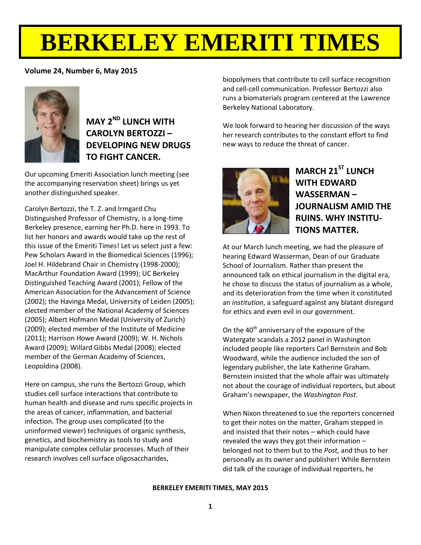# **BERKELEY EMERITI TIMES**

## **Volume 24, Number 6, May 2015**



# **MAY 2ND LUNCH WITH CAROLYN BERTOZZI – DEVELOPING NEW DRUGS TO FIGHT CANCER.**

Our upcoming Emeriti Association lunch meeting (see the accompanying reservation sheet) brings us yet another distinguished speaker.

Carolyn Bertozzi, the T. Z. and Irmgard Chu Distinguished Professor of Chemistry, is a long-time Berkeley presence, earning her Ph.D. here in 1993. To list her honors and awards would take up the rest of this issue of the Emeriti Times! Let us select just a few: Pew Scholars Award in the Biomedical Sciences (1996); Joel H. Hildebrand Chair in Chemistry (1998-2000); MacArthur Foundation Award (1999); UC Berkeley Distinguished Teaching Award (2001); Fellow of the American Association for the Advancement of Science (2002); the Havinga Medal, University of Leiden (2005); elected member of the National Academy of Sciences (2005); Albert Hofmann Medal (University of Zurich) (2009); elected member of the Institute of Medicine (2011); Harrison Howe Award (2009); W. H. Nichols Award (2009); Willard Gibbs Medal (2008); elected member of the German Academy of Sciences, Leopoldina (2008).

Here on campus, she runs the Bertozzi Group, which studies cell surface interactions that contribute to human health and disease and runs specific projects in the areas of cancer, inflammation, and bacterial infection. The group uses complicated (to the uninformed viewer) techniques of organic synthesis, genetics, and biochemistry as tools to study and manipulate complex cellular processes. Much of their research involves cell surface oligosaccharides,

biopolymers that contribute to cell surface recognition and cell-cell communication. Professor Bertozzi also runs a biomaterials program centered at the Lawrence Berkeley National Laboratory.

We look forward to hearing her discussion of the ways her research contributes to the constant effort to find new ways to reduce the threat of cancer.



# **MARCH 21ST LUNCH WITH EDWARD WASSERMAN – JOURNALISM AMID THE RUINS. WHY INSTITU-TIONS MATTER.**

At our March lunch meeting, we had the pleasure of hearing Edward Wasserman, Dean of our Graduate School of Journalism. Rather than present the announced talk on ethical journalism in the digital era, he chose to discuss the status of journalism as a whole, and its deterioration from the time when it constituted an *institution*, a safeguard against any blatant disregard for ethics and even evil in our government.

On the  $40<sup>th</sup>$  anniversary of the exposure of the Watergate scandals a 2012 panel in Washington included people like reporters Carl Bernstein and Bob Woodward, while the audience included the son of legendary publisher, the late Katherine Graham. Bernstein insisted that the whole affair was ultimately not about the courage of individual reporters, but about Graham's newspaper, the *Washington Post*.

When Nixon threatened to sue the reporters concerned to get their notes on the matter, Graham stepped in and insisted that their notes – which could have revealed the ways they got their information – belonged not to them but to the *Post,* and thus to her personally as its owner and publisher! While Bernstein did talk of the courage of individual reporters, he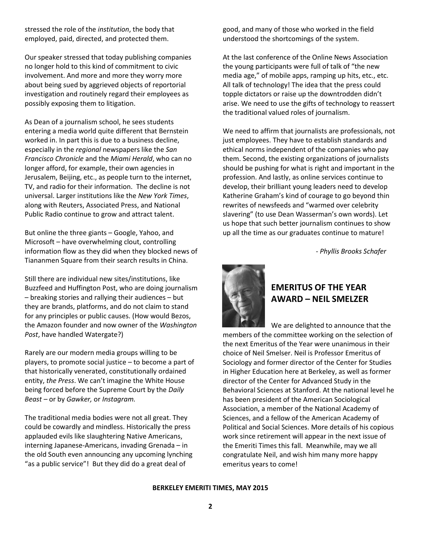stressed the role of the *institution*, the body that employed, paid, directed, and protected them.

Our speaker stressed that today publishing companies no longer hold to this kind of commitment to civic involvement. And more and more they worry more about being sued by aggrieved objects of reportorial investigation and routinely regard their employees as possibly exposing them to litigation.

As Dean of a journalism school, he sees students entering a media world quite different that Bernstein worked in. In part this is due to a business decline, especially in the *regional* newspapers like the *San Francisco Chronicle* and the *Miami Herald*, who can no longer afford, for example, their own agencies in Jerusalem, Beijing, etc., as people turn to the internet, TV, and radio for their information. The decline is not universal. Larger institutions like the *New York Times*, along with Reuters, Associated Press, and National Public Radio continue to grow and attract talent.

But online the three giants – Google, Yahoo, and Microsoft – have overwhelming clout, controlling information flow as they did when they blocked news of Tiananmen Square from their search results in China.

Still there are individual new sites/institutions, like Buzzfeed and Huffington Post, who are doing journalism – breaking stories and rallying their audiences – but they are brands, platforms, and do not claim to stand for any principles or public causes. (How would Bezos, the Amazon founder and now owner of the *Washington Post*, have handled Watergate?)

Rarely are our modern media groups willing to be players, to promote social justice – to become a part of that historically venerated, constitutionally ordained entity, *the Press*. We can't imagine the White House being forced before the Supreme Court by the *Daily Beast –* or by *Gawker,* or *Instagram.*

The traditional media bodies were not all great. They could be cowardly and mindless. Historically the press applauded evils like slaughtering Native Americans, interning Japanese-Americans, invading Grenada – in the old South even announcing any upcoming lynching "as a public service"! But they did do a great deal of

good, and many of those who worked in the field understood the shortcomings of the system.

At the last conference of the Online News Association the young participants were full of talk of "the new media age," of mobile apps, ramping up hits, etc., etc. All talk of technology! The idea that the press could topple dictators or raise up the downtrodden didn't arise. We need to use the gifts of technology to reassert the traditional valued roles of journalism.

We need to affirm that journalists are professionals, not just employees. They have to establish standards and ethical norms independent of the companies who pay them. Second, the existing organizations of journalists should be pushing for what is right and important in the profession. And lastly, as online services continue to develop, their brilliant young leaders need to develop Katherine Graham's kind of courage to go beyond thin rewrites of newsfeeds and "warmed over celebrity slavering" (to use Dean Wasserman's own words). Let us hope that such better journalism continues to show up all the time as our graduates continue to mature!

- *Phyllis Brooks Schafer*



# **EMERITUS OF THE YEAR AWARD – NEIL SMELZER**

We are delighted to announce that the members of the committee working on the selection of the next Emeritus of the Year were unanimous in their choice of Neil Smelser. Neil is Professor Emeritus of Sociology and former director of the Center for Studies in Higher Education here at Berkeley, as well as former director of the Center for Advanced Study in the Behavioral Sciences at Stanford. At the national level he has been president of the American Sociological Association, a member of the National Academy of Sciences, and a fellow of the American Academy of Political and Social Sciences. More details of his copious work since retirement will appear in the next issue of the Emeriti Times this fall. Meanwhile, may we all congratulate Neil, and wish him many more happy emeritus years to come!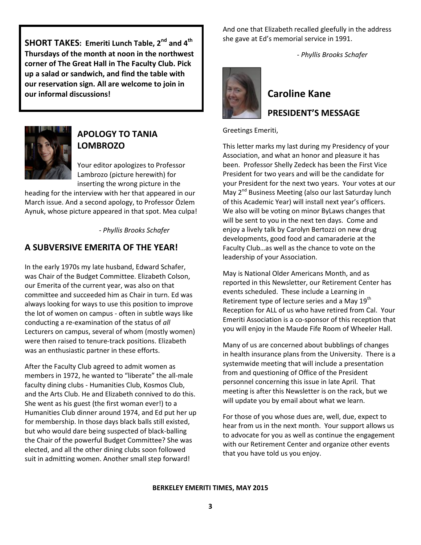**SHORT TAKES: Emeriti Lunch Table, 2nd and 4th Thursdays of the month at noon in the northwest corner of The Great Hall in The Faculty Club. Pick up a salad or sandwich, and find the table with our reservation sign. All are welcome to join in our informal discussions!**



# **APOLOGY TO TANIA LOMBROZO**

Your editor apologizes to Professor Lambrozo (picture herewith) for inserting the wrong picture in the

heading for the interview with her that appeared in our March issue. And a second apology, to Professor Özlem Aynuk, whose picture appeared in that spot. Mea culpa!

- *Phyllis Brooks Schafer*

# **A SUBVERSIVE EMERITA OF THE YEAR!**

In the early 1970s my late husband, Edward Schafer, was Chair of the Budget Committee. Elizabeth Colson, our Emerita of the current year, was also on that committee and succeeded him as Chair in turn. Ed was always looking for ways to use this position to improve the lot of women on campus - often in subtle ways like conducting a re-examination of the status of *all* Lecturers on campus, several of whom (mostly women) were then raised to tenure-track positions. Elizabeth was an enthusiastic partner in these efforts.

After the Faculty Club agreed to admit women as members in 1972, he wanted to "liberate" the all-male faculty dining clubs - Humanities Club, Kosmos Club, and the Arts Club. He and Elizabeth connived to do this. She went as his guest (the first woman ever!) to a Humanities Club dinner around 1974, and Ed put her up for membership. In those days black balls still existed, but who would dare being suspected of black-balling the Chair of the powerful Budget Committee? She was elected, and all the other dining clubs soon followed suit in admitting women. Another small step forward!

And one that Elizabeth recalled gleefully in the address she gave at Ed's memorial service in 1991.

- *Phyllis Brooks Schafer*



# **Caroline Kane PRESIDENT'S MESSAGE**

Greetings Emeriti,

This letter marks my last during my Presidency of your Association, and what an honor and pleasure it has been. Professor Shelly Zedeck has been the First Vice President for two years and will be the candidate for your President for the next two years. Your votes at our May 2<sup>nd</sup> Business Meeting (also our last Saturday lunch of this Academic Year) will install next year's officers. We also will be voting on minor ByLaws changes that will be sent to you in the next ten days. Come and enjoy a lively talk by Carolyn Bertozzi on new drug developments, good food and camaraderie at the Faculty Club…as well as the chance to vote on the leadership of your Association.

May is National Older Americans Month, and as reported in this Newsletter, our Retirement Center has events scheduled. These include a Learning in Retirement type of lecture series and a May 19<sup>th</sup> Reception for ALL of us who have retired from Cal. Your Emeriti Association is a co-sponsor of this reception that you will enjoy in the Maude Fife Room of Wheeler Hall.

Many of us are concerned about bubblings of changes in health insurance plans from the University. There is a systemwide meeting that will include a presentation from and questioning of Office of the President personnel concerning this issue in late April. That meeting is after this Newsletter is on the rack, but we will update you by email about what we learn.

For those of you whose dues are, well, due, expect to hear from us in the next month. Your support allows us to advocate for you as well as continue the engagement with our Retirement Center and organize other events that you have told us you enjoy.